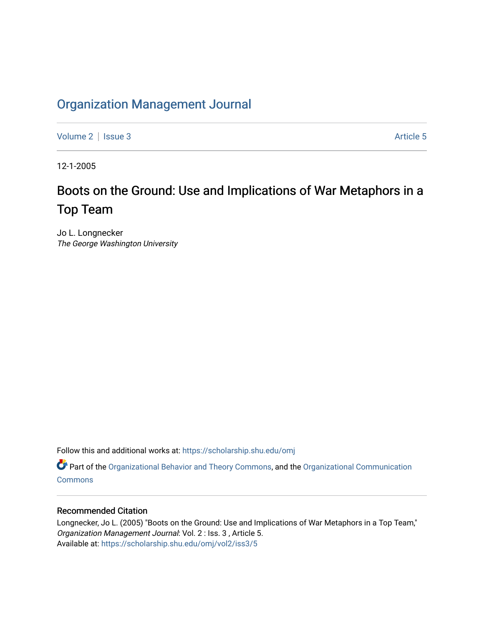# [Organization Management Journal](https://scholarship.shu.edu/omj)

[Volume 2](https://scholarship.shu.edu/omj/vol2) | [Issue 3](https://scholarship.shu.edu/omj/vol2/iss3) Article 5

12-1-2005

# Boots on the Ground: Use and Implications of War Metaphors in a Top Team

Jo L. Longnecker The George Washington University

Follow this and additional works at: [https://scholarship.shu.edu/omj](https://scholarship.shu.edu/omj?utm_source=scholarship.shu.edu%2Fomj%2Fvol2%2Fiss3%2F5&utm_medium=PDF&utm_campaign=PDFCoverPages) 

Part of the [Organizational Behavior and Theory Commons,](http://network.bepress.com/hgg/discipline/639?utm_source=scholarship.shu.edu%2Fomj%2Fvol2%2Fiss3%2F5&utm_medium=PDF&utm_campaign=PDFCoverPages) and the [Organizational Communication](http://network.bepress.com/hgg/discipline/335?utm_source=scholarship.shu.edu%2Fomj%2Fvol2%2Fiss3%2F5&utm_medium=PDF&utm_campaign=PDFCoverPages) **[Commons](http://network.bepress.com/hgg/discipline/335?utm_source=scholarship.shu.edu%2Fomj%2Fvol2%2Fiss3%2F5&utm_medium=PDF&utm_campaign=PDFCoverPages)** 

#### Recommended Citation

Longnecker, Jo L. (2005) "Boots on the Ground: Use and Implications of War Metaphors in a Top Team," Organization Management Journal: Vol. 2 : Iss. 3 , Article 5. Available at: [https://scholarship.shu.edu/omj/vol2/iss3/5](https://scholarship.shu.edu/omj/vol2/iss3/5?utm_source=scholarship.shu.edu%2Fomj%2Fvol2%2Fiss3%2F5&utm_medium=PDF&utm_campaign=PDFCoverPages)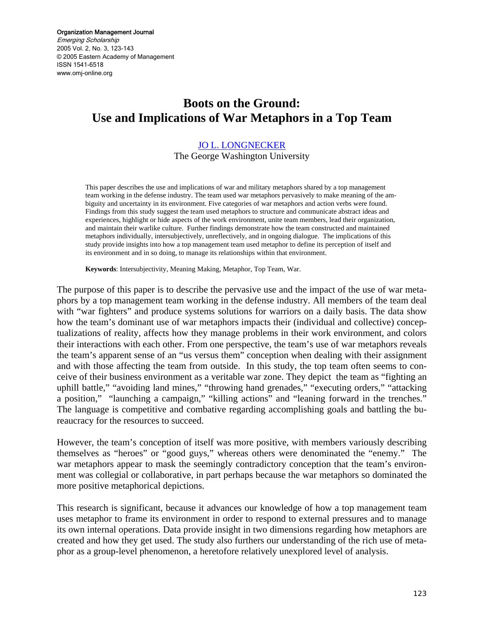Organization Management Journal Emerging Scholarship 2005 Vol. 2, No. 3, 123-143 © 2005 Eastern Academy of Management ISSN 1541-6518 www.omj-online.org

# **Boots on the Ground: Use and Implications of War Metaphors in a Top Team**

#### [JO L. LONGNECKER](mailto:jlongnec@mitre.org) The George Washington University

This paper describes the use and implications of war and military metaphors shared by a top management team working in the defense industry. The team used war metaphors pervasively to make meaning of the ambiguity and uncertainty in its environment. Five categories of war metaphors and action verbs were found. Findings from this study suggest the team used metaphors to structure and communicate abstract ideas and experiences, highlight or hide aspects of the work environment, unite team members, lead their organization, and maintain their warlike culture. Further findings demonstrate how the team constructed and maintained metaphors individually, intersubjectively, unreflectively, and in ongoing dialogue. The implications of this study provide insights into how a top management team used metaphor to define its perception of itself and its environment and in so doing, to manage its relationships within that environment.

**Keywords**: Intersubjectivity, Meaning Making, Metaphor, Top Team, War.

The purpose of this paper is to describe the pervasive use and the impact of the use of war metaphors by a top management team working in the defense industry. All members of the team deal with "war fighters" and produce systems solutions for warriors on a daily basis. The data show how the team's dominant use of war metaphors impacts their (individual and collective) conceptualizations of reality, affects how they manage problems in their work environment, and colors their interactions with each other. From one perspective, the team's use of war metaphors reveals the team's apparent sense of an "us versus them" conception when dealing with their assignment and with those affecting the team from outside. In this study, the top team often seems to conceive of their business environment as a veritable war zone. They depict the team as "fighting an uphill battle," "avoiding land mines," "throwing hand grenades," "executing orders," "attacking a position," "launching a campaign," "killing actions" and "leaning forward in the trenches." The language is competitive and combative regarding accomplishing goals and battling the bureaucracy for the resources to succeed.

However, the team's conception of itself was more positive, with members variously describing themselves as "heroes" or "good guys," whereas others were denominated the "enemy." The war metaphors appear to mask the seemingly contradictory conception that the team's environment was collegial or collaborative, in part perhaps because the war metaphors so dominated the more positive metaphorical depictions.

This research is significant, because it advances our knowledge of how a top management team uses metaphor to frame its environment in order to respond to external pressures and to manage its own internal operations. Data provide insight in two dimensions regarding how metaphors are created and how they get used. The study also furthers our understanding of the rich use of metaphor as a group-level phenomenon, a heretofore relatively unexplored level of analysis.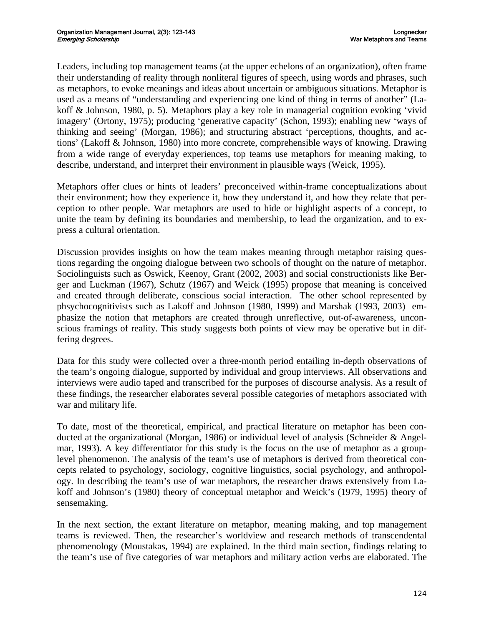Leaders, including top management teams (at the upper echelons of an organization), often frame their understanding of reality through nonliteral figures of speech, using words and phrases, such as metaphors, to evoke meanings and ideas about uncertain or ambiguous situations. Metaphor is used as a means of "understanding and experiencing one kind of thing in terms of another" (Lakoff & Johnson, 1980, p. 5). Metaphors play a key role in managerial cognition evoking 'vivid imagery' (Ortony, 1975); producing 'generative capacity' (Schon, 1993); enabling new 'ways of thinking and seeing' (Morgan, 1986); and structuring abstract 'perceptions, thoughts, and actions' (Lakoff & Johnson, 1980) into more concrete, comprehensible ways of knowing. Drawing from a wide range of everyday experiences, top teams use metaphors for meaning making, to describe, understand, and interpret their environment in plausible ways (Weick, 1995).

Metaphors offer clues or hints of leaders' preconceived within-frame conceptualizations about their environment; how they experience it, how they understand it, and how they relate that perception to other people. War metaphors are used to hide or highlight aspects of a concept, to unite the team by defining its boundaries and membership, to lead the organization, and to express a cultural orientation.

Discussion provides insights on how the team makes meaning through metaphor raising questions regarding the ongoing dialogue between two schools of thought on the nature of metaphor. Sociolinguists such as Oswick, Keenoy, Grant (2002, 2003) and social constructionists like Berger and Luckman (1967), Schutz (1967) and Weick (1995) propose that meaning is conceived and created through deliberate, conscious social interaction. The other school represented by phsychocognitivists such as Lakoff and Johnson (1980, 1999) and Marshak (1993, 2003) emphasize the notion that metaphors are created through unreflective, out-of-awareness, unconscious framings of reality. This study suggests both points of view may be operative but in differing degrees.

Data for this study were collected over a three-month period entailing in-depth observations of the team's ongoing dialogue, supported by individual and group interviews. All observations and interviews were audio taped and transcribed for the purposes of discourse analysis. As a result of these findings, the researcher elaborates several possible categories of metaphors associated with war and military life.

To date, most of the theoretical, empirical, and practical literature on metaphor has been conducted at the organizational (Morgan, 1986) or individual level of analysis (Schneider & Angelmar, 1993). A key differentiator for this study is the focus on the use of metaphor as a grouplevel phenomenon. The analysis of the team's use of metaphors is derived from theoretical concepts related to psychology, sociology, cognitive linguistics, social psychology, and anthropology. In describing the team's use of war metaphors, the researcher draws extensively from Lakoff and Johnson's (1980) theory of conceptual metaphor and Weick's (1979, 1995) theory of sensemaking.

In the next section, the extant literature on metaphor, meaning making, and top management teams is reviewed. Then, the researcher's worldview and research methods of transcendental phenomenology (Moustakas, 1994) are explained. In the third main section, findings relating to the team's use of five categories of war metaphors and military action verbs are elaborated. The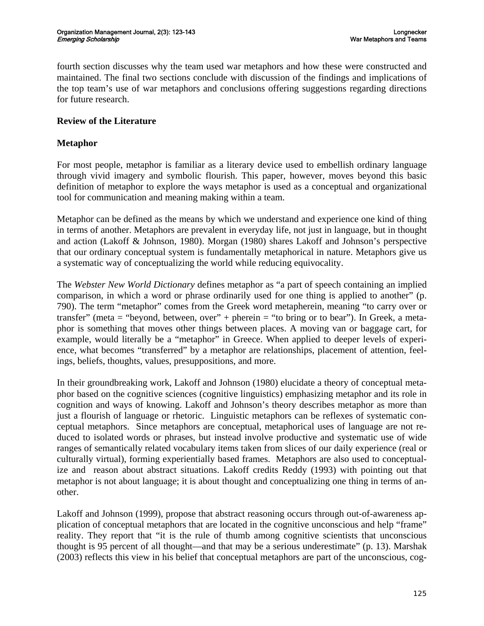fourth section discusses why the team used war metaphors and how these were constructed and maintained. The final two sections conclude with discussion of the findings and implications of the top team's use of war metaphors and conclusions offering suggestions regarding directions for future research.

#### **Review of the Literature**

#### **Metaphor**

For most people, metaphor is familiar as a literary device used to embellish ordinary language through vivid imagery and symbolic flourish. This paper, however, moves beyond this basic definition of metaphor to explore the ways metaphor is used as a conceptual and organizational tool for communication and meaning making within a team.

Metaphor can be defined as the means by which we understand and experience one kind of thing in terms of another. Metaphors are prevalent in everyday life, not just in language, but in thought and action (Lakoff & Johnson, 1980). Morgan (1980) shares Lakoff and Johnson's perspective that our ordinary conceptual system is fundamentally metaphorical in nature. Metaphors give us a systematic way of conceptualizing the world while reducing equivocality.

The *Webster New World Dictionary* defines metaphor as "a part of speech containing an implied comparison, in which a word or phrase ordinarily used for one thing is applied to another" (p. 790). The term "metaphor" comes from the Greek word metapherein, meaning "to carry over or transfer" (meta = "beyond, between, over" + pherein = "to bring or to bear"). In Greek, a metaphor is something that moves other things between places. A moving van or baggage cart, for example, would literally be a "metaphor" in Greece. When applied to deeper levels of experience, what becomes "transferred" by a metaphor are relationships, placement of attention, feelings, beliefs, thoughts, values, presuppositions, and more.

In their groundbreaking work, Lakoff and Johnson (1980) elucidate a theory of conceptual metaphor based on the cognitive sciences (cognitive linguistics) emphasizing metaphor and its role in cognition and ways of knowing. Lakoff and Johnson's theory describes metaphor as more than just a flourish of language or rhetoric. Linguistic metaphors can be reflexes of systematic conceptual metaphors. Since metaphors are conceptual, metaphorical uses of language are not reduced to isolated words or phrases, but instead involve productive and systematic use of wide ranges of semantically related vocabulary items taken from slices of our daily experience (real or culturally virtual), forming experientially based frames. Metaphors are also used to conceptualize and reason about abstract situations. Lakoff credits Reddy (1993) with pointing out that metaphor is not about language; it is about thought and conceptualizing one thing in terms of another.

Lakoff and Johnson (1999), propose that abstract reasoning occurs through out-of-awareness application of conceptual metaphors that are located in the cognitive unconscious and help "frame" reality. They report that "it is the rule of thumb among cognitive scientists that unconscious thought is 95 percent of all thought—and that may be a serious underestimate" (p. 13). Marshak (2003) reflects this view in his belief that conceptual metaphors are part of the unconscious, cog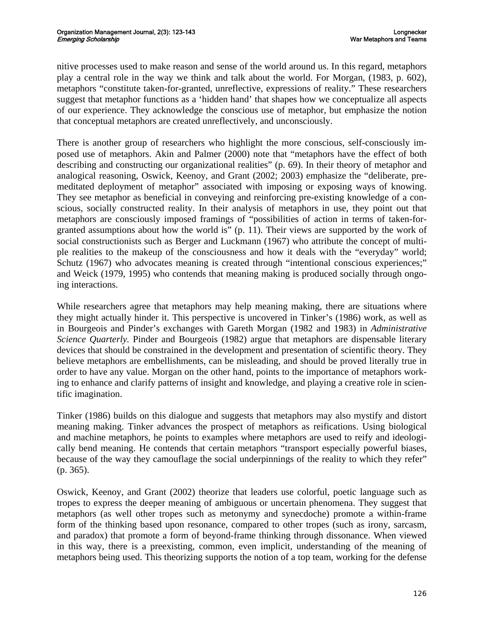nitive processes used to make reason and sense of the world around us. In this regard, metaphors play a central role in the way we think and talk about the world. For Morgan, (1983, p. 602), metaphors "constitute taken-for-granted, unreflective, expressions of reality." These researchers suggest that metaphor functions as a 'hidden hand' that shapes how we conceptualize all aspects of our experience. They acknowledge the conscious use of metaphor, but emphasize the notion that conceptual metaphors are created unreflectively, and unconsciously.

There is another group of researchers who highlight the more conscious, self-consciously imposed use of metaphors. Akin and Palmer (2000) note that "metaphors have the effect of both describing and constructing our organizational realities" (p. 69). In their theory of metaphor and analogical reasoning, Oswick, Keenoy, and Grant (2002; 2003) emphasize the "deliberate, premeditated deployment of metaphor" associated with imposing or exposing ways of knowing. They see metaphor as beneficial in conveying and reinforcing pre-existing knowledge of a conscious, socially constructed reality. In their analysis of metaphors in use, they point out that metaphors are consciously imposed framings of "possibilities of action in terms of taken-forgranted assumptions about how the world is" (p. 11). Their views are supported by the work of social constructionists such as Berger and Luckmann (1967) who attribute the concept of multiple realities to the makeup of the consciousness and how it deals with the "everyday" world; Schutz (1967) who advocates meaning is created through "intentional conscious experiences;" and Weick (1979, 1995) who contends that meaning making is produced socially through ongoing interactions.

While researchers agree that metaphors may help meaning making, there are situations where they might actually hinder it. This perspective is uncovered in Tinker's (1986) work, as well as in Bourgeois and Pinder's exchanges with Gareth Morgan (1982 and 1983) in *Administrative Science Quarterly.* Pinder and Bourgeois (1982) argue that metaphors are dispensable literary devices that should be constrained in the development and presentation of scientific theory. They believe metaphors are embellishments, can be misleading, and should be proved literally true in order to have any value. Morgan on the other hand, points to the importance of metaphors working to enhance and clarify patterns of insight and knowledge, and playing a creative role in scientific imagination.

Tinker (1986) builds on this dialogue and suggests that metaphors may also mystify and distort meaning making. Tinker advances the prospect of metaphors as reifications. Using biological and machine metaphors, he points to examples where metaphors are used to reify and ideologically bend meaning. He contends that certain metaphors "transport especially powerful biases, because of the way they camouflage the social underpinnings of the reality to which they refer" (p. 365).

Oswick, Keenoy, and Grant (2002) theorize that leaders use colorful, poetic language such as tropes to express the deeper meaning of ambiguous or uncertain phenomena. They suggest that metaphors (as well other tropes such as metonymy and synecdoche) promote a within-frame form of the thinking based upon resonance, compared to other tropes (such as irony, sarcasm, and paradox) that promote a form of beyond-frame thinking through dissonance. When viewed in this way, there is a preexisting, common, even implicit, understanding of the meaning of metaphors being used. This theorizing supports the notion of a top team, working for the defense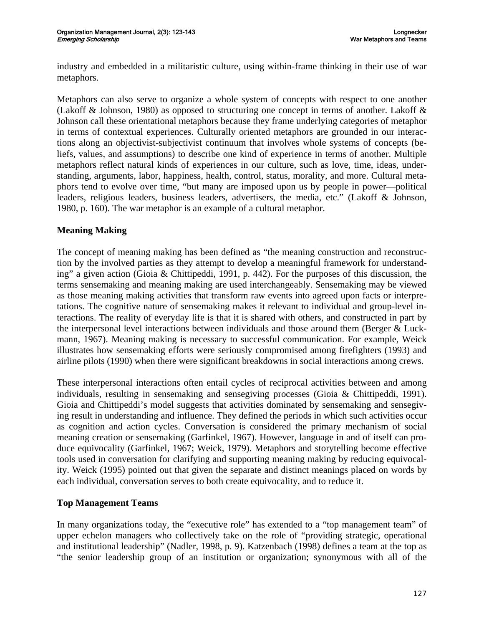industry and embedded in a militaristic culture, using within-frame thinking in their use of war metaphors.

Metaphors can also serve to organize a whole system of concepts with respect to one another (Lakoff & Johnson, 1980) as opposed to structuring one concept in terms of another. Lakoff & Johnson call these orientational metaphors because they frame underlying categories of metaphor in terms of contextual experiences. Culturally oriented metaphors are grounded in our interactions along an objectivist-subjectivist continuum that involves whole systems of concepts (beliefs, values, and assumptions) to describe one kind of experience in terms of another. Multiple metaphors reflect natural kinds of experiences in our culture, such as love, time, ideas, understanding, arguments, labor, happiness, health, control, status, morality, and more. Cultural metaphors tend to evolve over time, "but many are imposed upon us by people in power—political leaders, religious leaders, business leaders, advertisers, the media, etc." (Lakoff & Johnson, 1980, p. 160). The war metaphor is an example of a cultural metaphor.

#### **Meaning Making**

The concept of meaning making has been defined as "the meaning construction and reconstruction by the involved parties as they attempt to develop a meaningful framework for understanding" a given action (Gioia & Chittipeddi, 1991, p. 442). For the purposes of this discussion, the terms sensemaking and meaning making are used interchangeably. Sensemaking may be viewed as those meaning making activities that transform raw events into agreed upon facts or interpretations. The cognitive nature of sensemaking makes it relevant to individual and group-level interactions. The reality of everyday life is that it is shared with others, and constructed in part by the interpersonal level interactions between individuals and those around them (Berger & Luckmann, 1967). Meaning making is necessary to successful communication. For example, Weick illustrates how sensemaking efforts were seriously compromised among firefighters (1993) and airline pilots (1990) when there were significant breakdowns in social interactions among crews.

These interpersonal interactions often entail cycles of reciprocal activities between and among individuals, resulting in sensemaking and sensegiving processes (Gioia & Chittipeddi, 1991). Gioia and Chittipeddi's model suggests that activities dominated by sensemaking and sensegiving result in understanding and influence. They defined the periods in which such activities occur as cognition and action cycles. Conversation is considered the primary mechanism of social meaning creation or sensemaking (Garfinkel, 1967). However, language in and of itself can produce equivocality (Garfinkel, 1967; Weick, 1979). Metaphors and storytelling become effective tools used in conversation for clarifying and supporting meaning making by reducing equivocality. Weick (1995) pointed out that given the separate and distinct meanings placed on words by each individual, conversation serves to both create equivocality, and to reduce it.

#### **Top Management Teams**

In many organizations today, the "executive role" has extended to a "top management team" of upper echelon managers who collectively take on the role of "providing strategic, operational and institutional leadership" (Nadler, 1998, p. 9). Katzenbach (1998) defines a team at the top as "the senior leadership group of an institution or organization; synonymous with all of the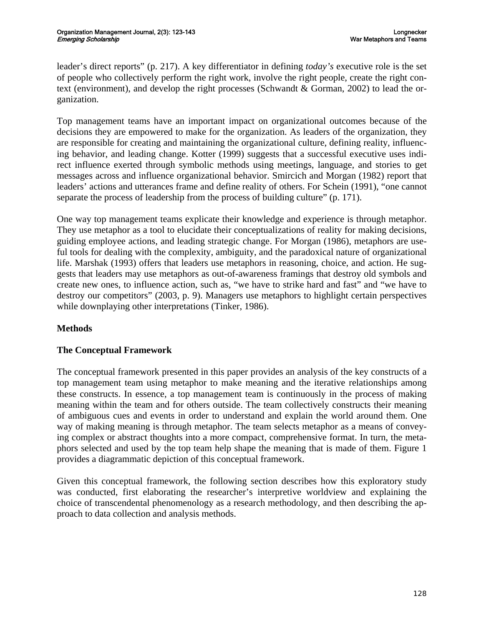leader's direct reports" (p. 217). A key differentiator in defining *today's* executive role is the set of people who collectively perform the right work, involve the right people, create the right context (environment), and develop the right processes (Schwandt & Gorman, 2002) to lead the organization.

Top management teams have an important impact on organizational outcomes because of the decisions they are empowered to make for the organization. As leaders of the organization, they are responsible for creating and maintaining the organizational culture, defining reality, influencing behavior, and leading change. Kotter (1999) suggests that a successful executive uses indirect influence exerted through symbolic methods using meetings, language, and stories to get messages across and influence organizational behavior. Smircich and Morgan (1982) report that leaders' actions and utterances frame and define reality of others. For Schein (1991), "one cannot separate the process of leadership from the process of building culture" (p. 171).

One way top management teams explicate their knowledge and experience is through metaphor. They use metaphor as a tool to elucidate their conceptualizations of reality for making decisions, guiding employee actions, and leading strategic change. For Morgan (1986), metaphors are useful tools for dealing with the complexity, ambiguity, and the paradoxical nature of organizational life. Marshak (1993) offers that leaders use metaphors in reasoning, choice, and action. He suggests that leaders may use metaphors as out-of-awareness framings that destroy old symbols and create new ones, to influence action, such as, "we have to strike hard and fast" and "we have to destroy our competitors" (2003, p. 9). Managers use metaphors to highlight certain perspectives while downplaying other interpretations (Tinker, 1986).

## **Methods**

#### **The Conceptual Framework**

The conceptual framework presented in this paper provides an analysis of the key constructs of a top management team using metaphor to make meaning and the iterative relationships among these constructs. In essence, a top management team is continuously in the process of making meaning within the team and for others outside. The team collectively constructs their meaning of ambiguous cues and events in order to understand and explain the world around them. One way of making meaning is through metaphor. The team selects metaphor as a means of conveying complex or abstract thoughts into a more compact, comprehensive format. In turn, the metaphors selected and used by the top team help shape the meaning that is made of them. Figure 1 provides a diagrammatic depiction of this conceptual framework.

Given this conceptual framework, the following section describes how this exploratory study was conducted, first elaborating the researcher's interpretive worldview and explaining the choice of transcendental phenomenology as a research methodology, and then describing the approach to data collection and analysis methods.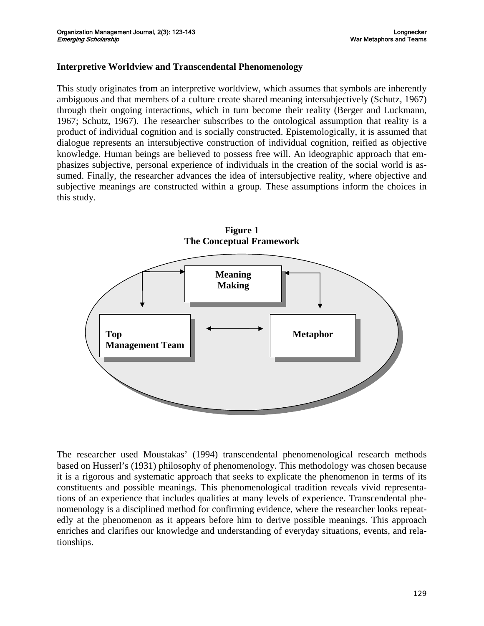#### **Interpretive Worldview and Transcendental Phenomenology**

This study originates from an interpretive worldview, which assumes that symbols are inherently ambiguous and that members of a culture create shared meaning intersubjectively (Schutz, 1967) through their ongoing interactions, which in turn become their reality (Berger and Luckmann, 1967; Schutz, 1967). The researcher subscribes to the ontological assumption that reality is a product of individual cognition and is socially constructed. Epistemologically, it is assumed that dialogue represents an intersubjective construction of individual cognition, reified as objective knowledge. Human beings are believed to possess free will. An ideographic approach that emphasizes subjective, personal experience of individuals in the creation of the social world is assumed. Finally, the researcher advances the idea of intersubjective reality, where objective and subjective meanings are constructed within a group. These assumptions inform the choices in this study.



**Figure 1** 

The researcher used Moustakas' (1994) transcendental phenomenological research methods based on Husserl's (1931) philosophy of phenomenology. This methodology was chosen because it is a rigorous and systematic approach that seeks to explicate the phenomenon in terms of its constituents and possible meanings. This phenomenological tradition reveals vivid representations of an experience that includes qualities at many levels of experience. Transcendental phenomenology is a disciplined method for confirming evidence, where the researcher looks repeatedly at the phenomenon as it appears before him to derive possible meanings. This approach enriches and clarifies our knowledge and understanding of everyday situations, events, and relationships.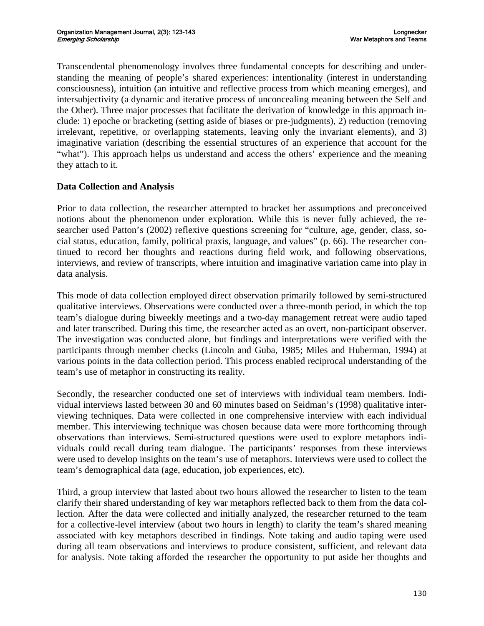Transcendental phenomenology involves three fundamental concepts for describing and understanding the meaning of people's shared experiences: intentionality (interest in understanding consciousness), intuition (an intuitive and reflective process from which meaning emerges), and intersubjectivity (a dynamic and iterative process of unconcealing meaning between the Self and the Other). Three major processes that facilitate the derivation of knowledge in this approach include: 1) epoche or bracketing (setting aside of biases or pre-judgments), 2) reduction (removing irrelevant, repetitive, or overlapping statements, leaving only the invariant elements), and 3) imaginative variation (describing the essential structures of an experience that account for the "what"). This approach helps us understand and access the others' experience and the meaning they attach to it.

## **Data Collection and Analysis**

Prior to data collection, the researcher attempted to bracket her assumptions and preconceived notions about the phenomenon under exploration. While this is never fully achieved, the researcher used Patton's (2002) reflexive questions screening for "culture, age, gender, class, social status, education, family, political praxis, language, and values" (p. 66). The researcher continued to record her thoughts and reactions during field work, and following observations, interviews, and review of transcripts, where intuition and imaginative variation came into play in data analysis.

This mode of data collection employed direct observation primarily followed by semi-structured qualitative interviews. Observations were conducted over a three-month period, in which the top team's dialogue during biweekly meetings and a two-day management retreat were audio taped and later transcribed. During this time, the researcher acted as an overt, non-participant observer. The investigation was conducted alone, but findings and interpretations were verified with the participants through member checks (Lincoln and Guba, 1985; Miles and Huberman, 1994) at various points in the data collection period. This process enabled reciprocal understanding of the team's use of metaphor in constructing its reality.

Secondly, the researcher conducted one set of interviews with individual team members. Individual interviews lasted between 30 and 60 minutes based on Seidman's (1998) qualitative interviewing techniques. Data were collected in one comprehensive interview with each individual member. This interviewing technique was chosen because data were more forthcoming through observations than interviews. Semi-structured questions were used to explore metaphors individuals could recall during team dialogue. The participants' responses from these interviews were used to develop insights on the team's use of metaphors. Interviews were used to collect the team's demographical data (age, education, job experiences, etc).

Third, a group interview that lasted about two hours allowed the researcher to listen to the team clarify their shared understanding of key war metaphors reflected back to them from the data collection. After the data were collected and initially analyzed, the researcher returned to the team for a collective-level interview (about two hours in length) to clarify the team's shared meaning associated with key metaphors described in findings. Note taking and audio taping were used during all team observations and interviews to produce consistent, sufficient, and relevant data for analysis. Note taking afforded the researcher the opportunity to put aside her thoughts and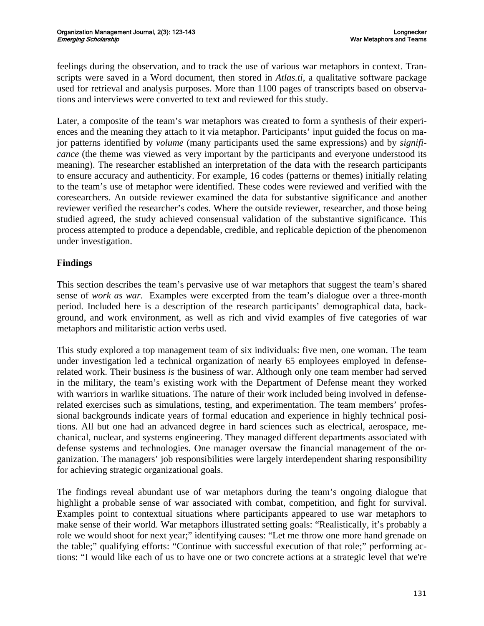feelings during the observation, and to track the use of various war metaphors in context. Transcripts were saved in a Word document, then stored in *Atlas.ti*, a qualitative software package used for retrieval and analysis purposes. More than 1100 pages of transcripts based on observations and interviews were converted to text and reviewed for this study.

Later, a composite of the team's war metaphors was created to form a synthesis of their experiences and the meaning they attach to it via metaphor. Participants' input guided the focus on major patterns identified by *volume* (many participants used the same expressions) and by *significance* (the theme was viewed as very important by the participants and everyone understood its meaning). The researcher established an interpretation of the data with the research participants to ensure accuracy and authenticity. For example, 16 codes (patterns or themes) initially relating to the team's use of metaphor were identified. These codes were reviewed and verified with the coresearchers. An outside reviewer examined the data for substantive significance and another reviewer verified the researcher's codes. Where the outside reviewer, researcher, and those being studied agreed, the study achieved consensual validation of the substantive significance. This process attempted to produce a dependable, credible, and replicable depiction of the phenomenon under investigation.

#### **Findings**

This section describes the team's pervasive use of war metaphors that suggest the team's shared sense of *work as war*. Examples were excerpted from the team's dialogue over a three-month period. Included here is a description of the research participants' demographical data, background, and work environment, as well as rich and vivid examples of five categories of war metaphors and militaristic action verbs used.

This study explored a top management team of six individuals: five men, one woman. The team under investigation led a technical organization of nearly 65 employees employed in defenserelated work. Their business *is* the business of war. Although only one team member had served in the military, the team's existing work with the Department of Defense meant they worked with warriors in warlike situations. The nature of their work included being involved in defenserelated exercises such as simulations, testing, and experimentation. The team members' professional backgrounds indicate years of formal education and experience in highly technical positions. All but one had an advanced degree in hard sciences such as electrical, aerospace, mechanical, nuclear, and systems engineering. They managed different departments associated with defense systems and technologies. One manager oversaw the financial management of the organization. The managers' job responsibilities were largely interdependent sharing responsibility for achieving strategic organizational goals.

The findings reveal abundant use of war metaphors during the team's ongoing dialogue that highlight a probable sense of war associated with combat, competition, and fight for survival. Examples point to contextual situations where participants appeared to use war metaphors to make sense of their world. War metaphors illustrated setting goals: "Realistically, it's probably a role we would shoot for next year;" identifying causes: "Let me throw one more hand grenade on the table;" qualifying efforts: "Continue with successful execution of that role;" performing actions: "I would like each of us to have one or two concrete actions at a strategic level that we're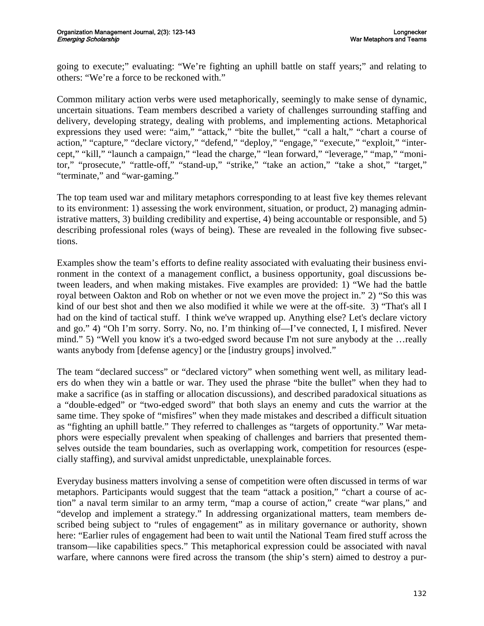going to execute;" evaluating: "We're fighting an uphill battle on staff years;" and relating to others: "We're a force to be reckoned with."

Common military action verbs were used metaphorically, seemingly to make sense of dynamic, uncertain situations. Team members described a variety of challenges surrounding staffing and delivery, developing strategy, dealing with problems, and implementing actions. Metaphorical expressions they used were: "aim," "attack," "bite the bullet," "call a halt," "chart a course of action," "capture," "declare victory," "defend," "deploy," "engage," "execute," "exploit," "intercept," "kill," "launch a campaign," "lead the charge," "lean forward," "leverage," "map," "monitor," "prosecute," "rattle-off," "stand-up," "strike," "take an action," "take a shot," "target," "terminate," and "war-gaming."

The top team used war and military metaphors corresponding to at least five key themes relevant to its environment: 1) assessing the work environment, situation, or product, 2) managing administrative matters, 3) building credibility and expertise, 4) being accountable or responsible, and 5) describing professional roles (ways of being). These are revealed in the following five subsections.

Examples show the team's efforts to define reality associated with evaluating their business environment in the context of a management conflict, a business opportunity, goal discussions between leaders, and when making mistakes. Five examples are provided: 1) "We had the battle royal between Oakton and Rob on whether or not we even move the project in." 2) "So this was kind of our best shot and then we also modified it while we were at the off-site. 3) "That's all I had on the kind of tactical stuff. I think we've wrapped up. Anything else? Let's declare victory and go." 4) "Oh I'm sorry. Sorry. No, no. I'm thinking of—I've connected, I, I misfired. Never mind." 5) "Well you know it's a two-edged sword because I'm not sure anybody at the …really wants anybody from [defense agency] or the [industry groups] involved."

The team "declared success" or "declared victory" when something went well, as military leaders do when they win a battle or war. They used the phrase "bite the bullet" when they had to make a sacrifice (as in staffing or allocation discussions), and described paradoxical situations as a "double-edged" or "two-edged sword" that both slays an enemy and cuts the warrior at the same time. They spoke of "misfires" when they made mistakes and described a difficult situation as "fighting an uphill battle." They referred to challenges as "targets of opportunity." War metaphors were especially prevalent when speaking of challenges and barriers that presented themselves outside the team boundaries, such as overlapping work, competition for resources (especially staffing), and survival amidst unpredictable, unexplainable forces.

Everyday business matters involving a sense of competition were often discussed in terms of war metaphors. Participants would suggest that the team "attack a position," "chart a course of action" a naval term similar to an army term, "map a course of action," create "war plans," and "develop and implement a strategy." In addressing organizational matters, team members described being subject to "rules of engagement" as in military governance or authority, shown here: "Earlier rules of engagement had been to wait until the National Team fired stuff across the transom—like capabilities specs." This metaphorical expression could be associated with naval warfare, where cannons were fired across the transom (the ship's stern) aimed to destroy a pur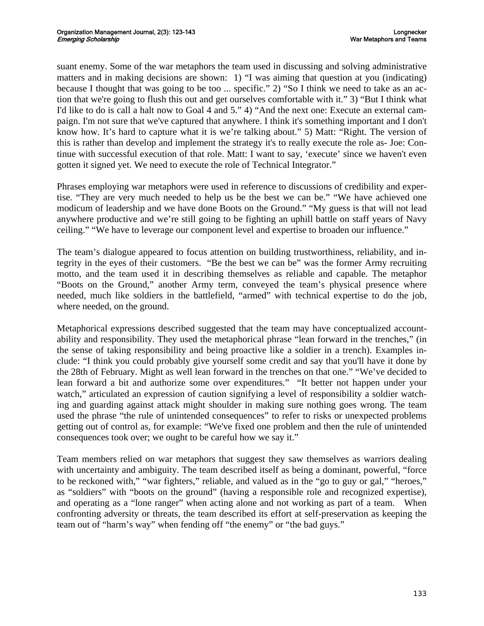suant enemy. Some of the war metaphors the team used in discussing and solving administrative matters and in making decisions are shown: 1) "I was aiming that question at you (indicating) because I thought that was going to be too ... specific." 2) "So I think we need to take as an action that we're going to flush this out and get ourselves comfortable with it." 3) "But I think what I'd like to do is call a halt now to Goal 4 and 5." 4) "And the next one: Execute an external campaign. I'm not sure that we've captured that anywhere. I think it's something important and I don't know how. It's hard to capture what it is we're talking about." 5) Matt: "Right. The version of this is rather than develop and implement the strategy it's to really execute the role as- Joe: Continue with successful execution of that role. Matt: I want to say, 'execute' since we haven't even gotten it signed yet. We need to execute the role of Technical Integrator."

Phrases employing war metaphors were used in reference to discussions of credibility and expertise. "They are very much needed to help us be the best we can be." "We have achieved one modicum of leadership and we have done Boots on the Ground." "My guess is that will not lead anywhere productive and we're still going to be fighting an uphill battle on staff years of Navy ceiling." "We have to leverage our component level and expertise to broaden our influence."

The team's dialogue appeared to focus attention on building trustworthiness, reliability, and integrity in the eyes of their customers. "Be the best we can be" was the former Army recruiting motto, and the team used it in describing themselves as reliable and capable. The metaphor "Boots on the Ground," another Army term, conveyed the team's physical presence where needed, much like soldiers in the battlefield, "armed" with technical expertise to do the job, where needed, on the ground.

Metaphorical expressions described suggested that the team may have conceptualized accountability and responsibility. They used the metaphorical phrase "lean forward in the trenches," (in the sense of taking responsibility and being proactive like a soldier in a trench). Examples include: "I think you could probably give yourself some credit and say that you'll have it done by the 28th of February. Might as well lean forward in the trenches on that one." "We've decided to lean forward a bit and authorize some over expenditures." "It better not happen under your watch," articulated an expression of caution signifying a level of responsibility a soldier watching and guarding against attack might shoulder in making sure nothing goes wrong. The team used the phrase "the rule of unintended consequences" to refer to risks or unexpected problems getting out of control as, for example: "We've fixed one problem and then the rule of unintended consequences took over; we ought to be careful how we say it."

Team members relied on war metaphors that suggest they saw themselves as warriors dealing with uncertainty and ambiguity. The team described itself as being a dominant, powerful, "force to be reckoned with," "war fighters," reliable, and valued as in the "go to guy or gal," "heroes," as "soldiers" with "boots on the ground" (having a responsible role and recognized expertise), and operating as a "lone ranger" when acting alone and not working as part of a team. When confronting adversity or threats, the team described its effort at self-preservation as keeping the team out of "harm's way" when fending off "the enemy" or "the bad guys."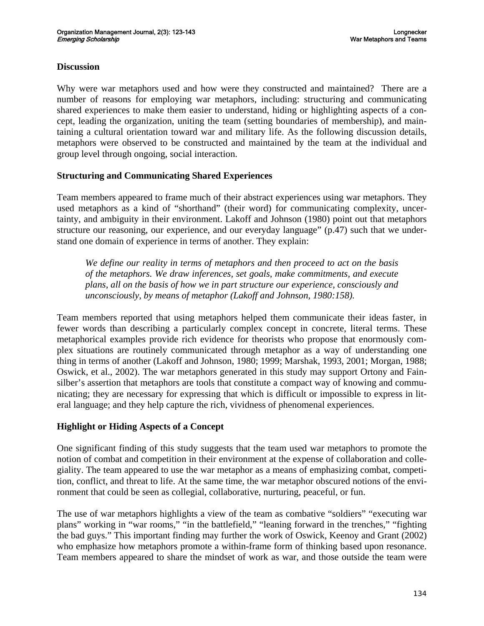#### **Discussion**

Why were war metaphors used and how were they constructed and maintained? There are a number of reasons for employing war metaphors, including: structuring and communicating shared experiences to make them easier to understand, hiding or highlighting aspects of a concept, leading the organization, uniting the team (setting boundaries of membership), and maintaining a cultural orientation toward war and military life. As the following discussion details, metaphors were observed to be constructed and maintained by the team at the individual and group level through ongoing, social interaction.

#### **Structuring and Communicating Shared Experiences**

Team members appeared to frame much of their abstract experiences using war metaphors. They used metaphors as a kind of "shorthand" (their word) for communicating complexity, uncertainty, and ambiguity in their environment. Lakoff and Johnson (1980) point out that metaphors structure our reasoning, our experience, and our everyday language" (p.47) such that we understand one domain of experience in terms of another. They explain:

*We define our reality in terms of metaphors and then proceed to act on the basis of the metaphors. We draw inferences, set goals, make commitments, and execute plans, all on the basis of how we in part structure our experience, consciously and unconsciously, by means of metaphor (Lakoff and Johnson, 1980:158).* 

Team members reported that using metaphors helped them communicate their ideas faster, in fewer words than describing a particularly complex concept in concrete, literal terms. These metaphorical examples provide rich evidence for theorists who propose that enormously complex situations are routinely communicated through metaphor as a way of understanding one thing in terms of another (Lakoff and Johnson, 1980; 1999; Marshak, 1993, 2001; Morgan, 1988; Oswick, et al., 2002). The war metaphors generated in this study may support Ortony and Fainsilber's assertion that metaphors are tools that constitute a compact way of knowing and communicating; they are necessary for expressing that which is difficult or impossible to express in literal language; and they help capture the rich, vividness of phenomenal experiences.

#### **Highlight or Hiding Aspects of a Concept**

One significant finding of this study suggests that the team used war metaphors to promote the notion of combat and competition in their environment at the expense of collaboration and collegiality. The team appeared to use the war metaphor as a means of emphasizing combat, competition, conflict, and threat to life. At the same time, the war metaphor obscured notions of the environment that could be seen as collegial, collaborative, nurturing, peaceful, or fun.

The use of war metaphors highlights a view of the team as combative "soldiers" "executing war plans" working in "war rooms," "in the battlefield," "leaning forward in the trenches," "fighting the bad guys." This important finding may further the work of Oswick, Keenoy and Grant (2002) who emphasize how metaphors promote a within-frame form of thinking based upon resonance. Team members appeared to share the mindset of work as war, and those outside the team were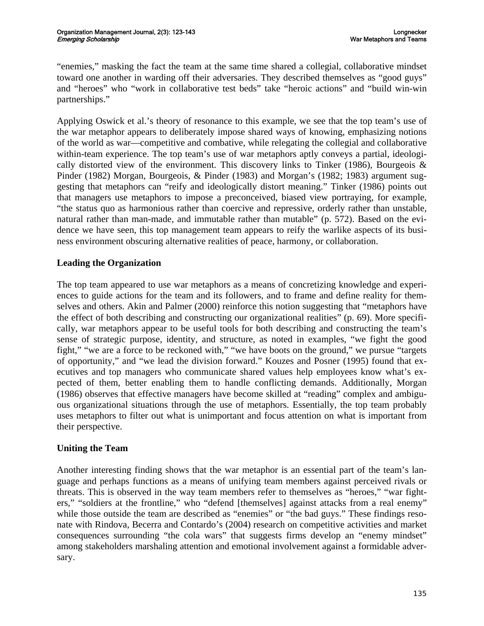"enemies," masking the fact the team at the same time shared a collegial, collaborative mindset toward one another in warding off their adversaries. They described themselves as "good guys" and "heroes" who "work in collaborative test beds" take "heroic actions" and "build win-win partnerships."

Applying Oswick et al.'s theory of resonance to this example, we see that the top team's use of the war metaphor appears to deliberately impose shared ways of knowing, emphasizing notions of the world as war—competitive and combative, while relegating the collegial and collaborative within-team experience. The top team's use of war metaphors aptly conveys a partial, ideologically distorted view of the environment. This discovery links to Tinker (1986), Bourgeois  $\&$ Pinder (1982) Morgan, Bourgeois, & Pinder (1983) and Morgan's (1982; 1983) argument suggesting that metaphors can "reify and ideologically distort meaning." Tinker (1986) points out that managers use metaphors to impose a preconceived, biased view portraying, for example, "the status quo as harmonious rather than coercive and repressive, orderly rather than unstable, natural rather than man-made, and immutable rather than mutable" (p. 572). Based on the evidence we have seen, this top management team appears to reify the warlike aspects of its business environment obscuring alternative realities of peace, harmony, or collaboration.

## **Leading the Organization**

The top team appeared to use war metaphors as a means of concretizing knowledge and experiences to guide actions for the team and its followers, and to frame and define reality for themselves and others. Akin and Palmer (2000) reinforce this notion suggesting that "metaphors have the effect of both describing and constructing our organizational realities" (p. 69). More specifically, war metaphors appear to be useful tools for both describing and constructing the team's sense of strategic purpose, identity, and structure, as noted in examples, "we fight the good fight," "we are a force to be reckoned with," "we have boots on the ground," we pursue "targets of opportunity," and "we lead the division forward." Kouzes and Posner (1995) found that executives and top managers who communicate shared values help employees know what's expected of them, better enabling them to handle conflicting demands. Additionally, Morgan (1986) observes that effective managers have become skilled at "reading" complex and ambiguous organizational situations through the use of metaphors. Essentially, the top team probably uses metaphors to filter out what is unimportant and focus attention on what is important from their perspective.

#### **Uniting the Team**

Another interesting finding shows that the war metaphor is an essential part of the team's language and perhaps functions as a means of unifying team members against perceived rivals or threats. This is observed in the way team members refer to themselves as "heroes," "war fighters," "soldiers at the frontline," who "defend [themselves] against attacks from a real enemy" while those outside the team are described as "enemies" or "the bad guys." These findings resonate with Rindova, Becerra and Contardo's (2004) research on competitive activities and market consequences surrounding "the cola wars" that suggests firms develop an "enemy mindset" among stakeholders marshaling attention and emotional involvement against a formidable adversary.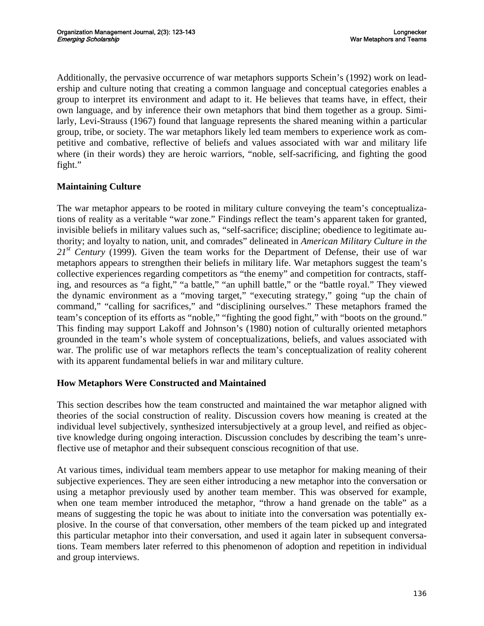Additionally, the pervasive occurrence of war metaphors supports Schein's (1992) work on leadership and culture noting that creating a common language and conceptual categories enables a group to interpret its environment and adapt to it. He believes that teams have, in effect, their own language, and by inference their own metaphors that bind them together as a group. Similarly, Levi-Strauss (1967) found that language represents the shared meaning within a particular group, tribe, or society. The war metaphors likely led team members to experience work as competitive and combative, reflective of beliefs and values associated with war and military life where (in their words) they are heroic warriors, "noble, self-sacrificing, and fighting the good fight."

## **Maintaining Culture**

The war metaphor appears to be rooted in military culture conveying the team's conceptualizations of reality as a veritable "war zone." Findings reflect the team's apparent taken for granted, invisible beliefs in military values such as, "self-sacrifice; discipline; obedience to legitimate authority; and loyalty to nation, unit, and comrades" delineated in *American Military Culture in the*  21<sup>st</sup> Century (1999). Given the team works for the Department of Defense, their use of war metaphors appears to strengthen their beliefs in military life. War metaphors suggest the team's collective experiences regarding competitors as "the enemy" and competition for contracts, staffing, and resources as "a fight," "a battle," "an uphill battle," or the "battle royal." They viewed the dynamic environment as a "moving target," "executing strategy," going "up the chain of command," "calling for sacrifices," and "disciplining ourselves." These metaphors framed the team's conception of its efforts as "noble," "fighting the good fight," with "boots on the ground." This finding may support Lakoff and Johnson's (1980) notion of culturally oriented metaphors grounded in the team's whole system of conceptualizations, beliefs, and values associated with war. The prolific use of war metaphors reflects the team's conceptualization of reality coherent with its apparent fundamental beliefs in war and military culture.

#### **How Metaphors Were Constructed and Maintained**

This section describes how the team constructed and maintained the war metaphor aligned with theories of the social construction of reality. Discussion covers how meaning is created at the individual level subjectively, synthesized intersubjectively at a group level, and reified as objective knowledge during ongoing interaction. Discussion concludes by describing the team's unreflective use of metaphor and their subsequent conscious recognition of that use.

At various times, individual team members appear to use metaphor for making meaning of their subjective experiences. They are seen either introducing a new metaphor into the conversation or using a metaphor previously used by another team member. This was observed for example, when one team member introduced the metaphor, "throw a hand grenade on the table" as a means of suggesting the topic he was about to initiate into the conversation was potentially explosive. In the course of that conversation, other members of the team picked up and integrated this particular metaphor into their conversation, and used it again later in subsequent conversations. Team members later referred to this phenomenon of adoption and repetition in individual and group interviews.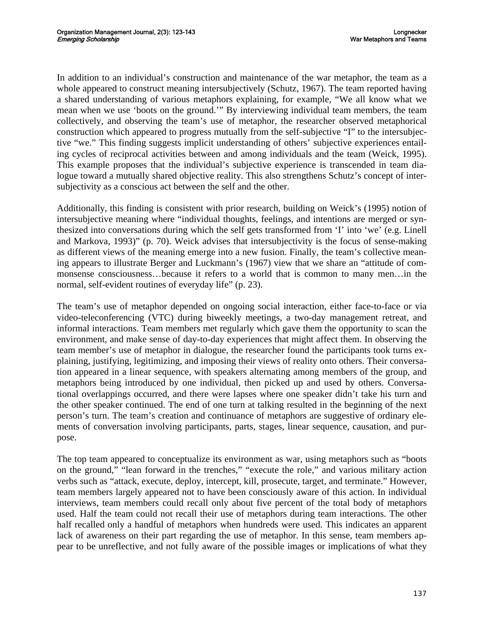In addition to an individual's construction and maintenance of the war metaphor, the team as a whole appeared to construct meaning intersubjectively (Schutz, 1967). The team reported having a shared understanding of various metaphors explaining, for example, "We all know what we mean when we use 'boots on the ground.'" By interviewing individual team members, the team collectively, and observing the team's use of metaphor, the researcher observed metaphorical construction which appeared to progress mutually from the self-subjective "I" to the intersubjective "we." This finding suggests implicit understanding of others' subjective experiences entailing cycles of reciprocal activities between and among individuals and the team (Weick, 1995). This example proposes that the individual's subjective experience is transcended in team dialogue toward a mutually shared objective reality. This also strengthens Schutz's concept of intersubjectivity as a conscious act between the self and the other.

Additionally, this finding is consistent with prior research, building on Weick's (1995) notion of intersubjective meaning where "individual thoughts, feelings, and intentions are merged or synthesized into conversations during which the self gets transformed from 'I' into 'we' (e.g. Linell and Markova, 1993)" (p. 70). Weick advises that intersubjectivity is the focus of sense-making as different views of the meaning emerge into a new fusion. Finally, the team's collective meaning appears to illustrate Berger and Luckmann's (1967) view that we share an "attitude of commonsense consciousness…because it refers to a world that is common to many men…in the normal, self-evident routines of everyday life" (p. 23).

The team's use of metaphor depended on ongoing social interaction, either face-to-face or via video-teleconferencing (VTC) during biweekly meetings, a two-day management retreat, and informal interactions. Team members met regularly which gave them the opportunity to scan the environment, and make sense of day-to-day experiences that might affect them. In observing the team member's use of metaphor in dialogue, the researcher found the participants took turns explaining, justifying, legitimizing, and imposing their views of reality onto others. Their conversation appeared in a linear sequence, with speakers alternating among members of the group, and metaphors being introduced by one individual, then picked up and used by others. Conversational overlappings occurred, and there were lapses where one speaker didn't take his turn and the other speaker continued. The end of one turn at talking resulted in the beginning of the next person's turn. The team's creation and continuance of metaphors are suggestive of ordinary elements of conversation involving participants, parts, stages, linear sequence, causation, and purpose.

The top team appeared to conceptualize its environment as war, using metaphors such as "boots on the ground," "lean forward in the trenches," "execute the role," and various military action verbs such as "attack, execute, deploy, intercept, kill, prosecute, target, and terminate." However, team members largely appeared not to have been consciously aware of this action. In individual interviews, team members could recall only about five percent of the total body of metaphors used. Half the team could not recall their use of metaphors during team interactions. The other half recalled only a handful of metaphors when hundreds were used. This indicates an apparent lack of awareness on their part regarding the use of metaphor. In this sense, team members appear to be unreflective, and not fully aware of the possible images or implications of what they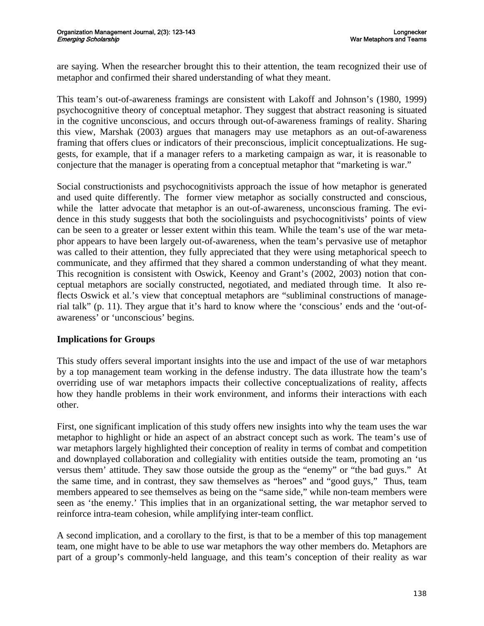are saying. When the researcher brought this to their attention, the team recognized their use of metaphor and confirmed their shared understanding of what they meant.

This team's out-of-awareness framings are consistent with Lakoff and Johnson's (1980, 1999) psychocognitive theory of conceptual metaphor. They suggest that abstract reasoning is situated in the cognitive unconscious, and occurs through out-of-awareness framings of reality. Sharing this view, Marshak (2003) argues that managers may use metaphors as an out-of-awareness framing that offers clues or indicators of their preconscious, implicit conceptualizations. He suggests, for example, that if a manager refers to a marketing campaign as war, it is reasonable to conjecture that the manager is operating from a conceptual metaphor that "marketing is war."

Social constructionists and psychocognitivists approach the issue of how metaphor is generated and used quite differently. The former view metaphor as socially constructed and conscious, while the latter advocate that metaphor is an out-of-awareness, unconscious framing. The evidence in this study suggests that both the sociolinguists and psychocognitivists' points of view can be seen to a greater or lesser extent within this team. While the team's use of the war metaphor appears to have been largely out-of-awareness, when the team's pervasive use of metaphor was called to their attention, they fully appreciated that they were using metaphorical speech to communicate, and they affirmed that they shared a common understanding of what they meant. This recognition is consistent with Oswick, Keenoy and Grant's (2002, 2003) notion that conceptual metaphors are socially constructed, negotiated, and mediated through time. It also reflects Oswick et al.'s view that conceptual metaphors are "subliminal constructions of managerial talk" (p. 11). They argue that it's hard to know where the 'conscious' ends and the 'out-ofawareness' or 'unconscious' begins.

#### **Implications for Groups**

This study offers several important insights into the use and impact of the use of war metaphors by a top management team working in the defense industry. The data illustrate how the team's overriding use of war metaphors impacts their collective conceptualizations of reality, affects how they handle problems in their work environment, and informs their interactions with each other.

First, one significant implication of this study offers new insights into why the team uses the war metaphor to highlight or hide an aspect of an abstract concept such as work. The team's use of war metaphors largely highlighted their conception of reality in terms of combat and competition and downplayed collaboration and collegiality with entities outside the team, promoting an 'us versus them' attitude. They saw those outside the group as the "enemy" or "the bad guys." At the same time, and in contrast, they saw themselves as "heroes" and "good guys," Thus, team members appeared to see themselves as being on the "same side," while non-team members were seen as 'the enemy.' This implies that in an organizational setting, the war metaphor served to reinforce intra-team cohesion, while amplifying inter-team conflict.

A second implication, and a corollary to the first, is that to be a member of this top management team, one might have to be able to use war metaphors the way other members do. Metaphors are part of a group's commonly-held language, and this team's conception of their reality as war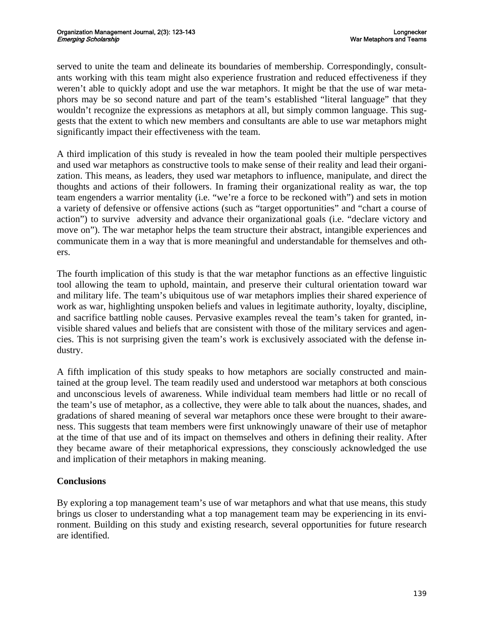served to unite the team and delineate its boundaries of membership. Correspondingly, consultants working with this team might also experience frustration and reduced effectiveness if they weren't able to quickly adopt and use the war metaphors. It might be that the use of war metaphors may be so second nature and part of the team's established "literal language" that they wouldn't recognize the expressions as metaphors at all, but simply common language. This suggests that the extent to which new members and consultants are able to use war metaphors might significantly impact their effectiveness with the team.

A third implication of this study is revealed in how the team pooled their multiple perspectives and used war metaphors as constructive tools to make sense of their reality and lead their organization. This means, as leaders, they used war metaphors to influence, manipulate, and direct the thoughts and actions of their followers. In framing their organizational reality as war, the top team engenders a warrior mentality (i.e. "we're a force to be reckoned with") and sets in motion a variety of defensive or offensive actions (such as "target opportunities" and "chart a course of action") to survive adversity and advance their organizational goals (i.e. "declare victory and move on"). The war metaphor helps the team structure their abstract, intangible experiences and communicate them in a way that is more meaningful and understandable for themselves and others.

The fourth implication of this study is that the war metaphor functions as an effective linguistic tool allowing the team to uphold, maintain, and preserve their cultural orientation toward war and military life. The team's ubiquitous use of war metaphors implies their shared experience of work as war, highlighting unspoken beliefs and values in legitimate authority, loyalty, discipline, and sacrifice battling noble causes. Pervasive examples reveal the team's taken for granted, invisible shared values and beliefs that are consistent with those of the military services and agencies. This is not surprising given the team's work is exclusively associated with the defense industry.

A fifth implication of this study speaks to how metaphors are socially constructed and maintained at the group level. The team readily used and understood war metaphors at both conscious and unconscious levels of awareness. While individual team members had little or no recall of the team's use of metaphor, as a collective, they were able to talk about the nuances, shades, and gradations of shared meaning of several war metaphors once these were brought to their awareness. This suggests that team members were first unknowingly unaware of their use of metaphor at the time of that use and of its impact on themselves and others in defining their reality. After they became aware of their metaphorical expressions, they consciously acknowledged the use and implication of their metaphors in making meaning.

#### **Conclusions**

By exploring a top management team's use of war metaphors and what that use means, this study brings us closer to understanding what a top management team may be experiencing in its environment. Building on this study and existing research, several opportunities for future research are identified.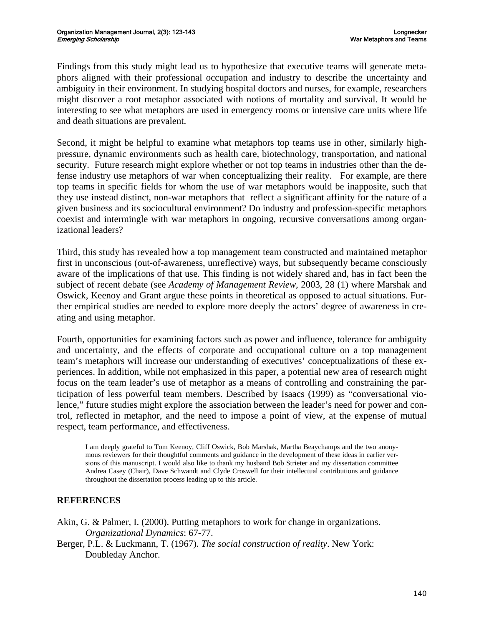Findings from this study might lead us to hypothesize that executive teams will generate metaphors aligned with their professional occupation and industry to describe the uncertainty and ambiguity in their environment. In studying hospital doctors and nurses, for example, researchers might discover a root metaphor associated with notions of mortality and survival. It would be interesting to see what metaphors are used in emergency rooms or intensive care units where life and death situations are prevalent.

Second, it might be helpful to examine what metaphors top teams use in other, similarly highpressure, dynamic environments such as health care, biotechnology, transportation, and national security. Future research might explore whether or not top teams in industries other than the defense industry use metaphors of war when conceptualizing their reality. For example, are there top teams in specific fields for whom the use of war metaphors would be inapposite, such that they use instead distinct, non-war metaphors that reflect a significant affinity for the nature of a given business and its sociocultural environment? Do industry and profession-specific metaphors coexist and intermingle with war metaphors in ongoing, recursive conversations among organizational leaders?

Third, this study has revealed how a top management team constructed and maintained metaphor first in unconscious (out-of-awareness, unreflective) ways, but subsequently became consciously aware of the implications of that use. This finding is not widely shared and, has in fact been the subject of recent debate (see *Academy of Management Review,* 2003, 28 (1) where Marshak and Oswick, Keenoy and Grant argue these points in theoretical as opposed to actual situations. Further empirical studies are needed to explore more deeply the actors' degree of awareness in creating and using metaphor.

Fourth, opportunities for examining factors such as power and influence, tolerance for ambiguity and uncertainty, and the effects of corporate and occupational culture on a top management team's metaphors will increase our understanding of executives' conceptualizations of these experiences. In addition, while not emphasized in this paper, a potential new area of research might focus on the team leader's use of metaphor as a means of controlling and constraining the participation of less powerful team members. Described by Isaacs (1999) as "conversational violence," future studies might explore the association between the leader's need for power and control, reflected in metaphor, and the need to impose a point of view, at the expense of mutual respect, team performance, and effectiveness.

I am deeply grateful to Tom Keenoy, Cliff Oswick, Bob Marshak, Martha Beaychamps and the two anonymous reviewers for their thoughtful comments and guidance in the development of these ideas in earlier versions of this manuscript. I would also like to thank my husband Bob Strieter and my dissertation committee Andrea Casey (Chair), Dave Schwandt and Clyde Croswell for their intellectual contributions and guidance throughout the dissertation process leading up to this article.

#### **REFERENCES**

- Akin, G. & Palmer, I. (2000). Putting metaphors to work for change in organizations. *Organizational Dynamics*: 67-77.
- Berger, P.L. & Luckmann, T. (1967). *The social construction of reality*. New York: Doubleday Anchor.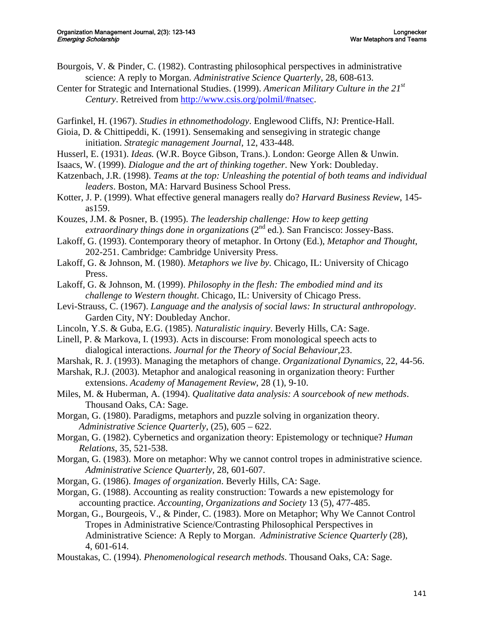- Bourgois, V. & Pinder, C. (1982). Contrasting philosophical perspectives in administrative science: A reply to Morgan. *Administrative Science Quarterly*, 28, 608-613.
- Center for Strategic and International Studies. (1999). American Military Culture in the 21<sup>st</sup> *Century*. Retreived from <http://www.csis.org/polmil/#natsec>.

Garfinkel, H. (1967). *Studies in ethnomethodology*. Englewood Cliffs, NJ: Prentice-Hall.

- Gioia, D. & Chittipeddi, K. (1991). Sensemaking and sensegiving in strategic change initiation. *Strategic management Journal*, 12, 433-448.
- Husserl, E. (1931). *Ideas.* (W.R. Boyce Gibson, Trans.). London: George Allen & Unwin.
- Isaacs, W. (1999). *Dialogue and the art of thinking together*. New York: Doubleday.
- Katzenbach, J.R. (1998). *Teams at the top: Unleashing the potential of both teams and individual leaders*. Boston, MA: Harvard Business School Press.
- Kotter, J. P. (1999). What effective general managers really do? *Harvard Business Review*, 145 as159.

Kouzes, J.M. & Posner, B. (1995). *The leadership challenge: How to keep getting extraordinary things done in organizations* (2nd ed.). San Francisco: Jossey-Bass.

- Lakoff, G. (1993). Contemporary theory of metaphor. In Ortony (Ed.), *Metaphor and Thought*, 202-251. Cambridge: Cambridge University Press.
- Lakoff, G. & Johnson, M. (1980). *Metaphors we live by.* Chicago, IL: University of Chicago Press.
- Lakoff, G. & Johnson, M. (1999). *Philosophy in the flesh: The embodied mind and its challenge to Western thought*. Chicago, IL: University of Chicago Press.
- Levi-Strauss, C. (1967). *Language and the analysis of social laws: In structural anthropology*. Garden City, NY: Doubleday Anchor.
- Lincoln, Y.S. & Guba, E.G. (1985). *Naturalistic inquiry*. Beverly Hills, CA: Sage.
- Linell, P. & Markova, I. (1993). Acts in discourse: From monological speech acts to dialogical interactions. *Journal for the Theory of Social Behaviour*,23.
- Marshak, R. J. (1993). Managing the metaphors of change. *Organizational Dynamics,* 22, 44-56.
- Marshak, R.J. (2003). Metaphor and analogical reasoning in organization theory: Further extensions. *Academy of Management Review*, 28 (1), 9-10.
- Miles, M. & Huberman, A. (1994). *Qualitative data analysis: A sourcebook of new methods*. Thousand Oaks, CA: Sage.
- Morgan, G. (1980). Paradigms, metaphors and puzzle solving in organization theory.  *Administrative Science Quarterly*, (25), 605 – 622.
- Morgan, G. (1982). Cybernetics and organization theory: Epistemology or technique? *Human Relations*, 35, 521-538.
- Morgan, G. (1983). More on metaphor: Why we cannot control tropes in administrative science. *Administrative Science Quarterly,* 28, 601-607.
- Morgan, G. (1986). *Images of organization*. Beverly Hills, CA: Sage.
- Morgan, G. (1988). Accounting as reality construction: Towards a new epistemology for accounting practice. *Accounting, Organizations and Society* 13 (5), 477-485.
- Morgan, G., Bourgeois, V., & Pinder, C. (1983). More on Metaphor; Why We Cannot Control Tropes in Administrative Science/Contrasting Philosophical Perspectives in Administrative Science: A Reply to Morgan. *Administrative Science Quarterly* (28), 4, 601-614.
- Moustakas, C. (1994). *Phenomenological research methods*. Thousand Oaks, CA: Sage.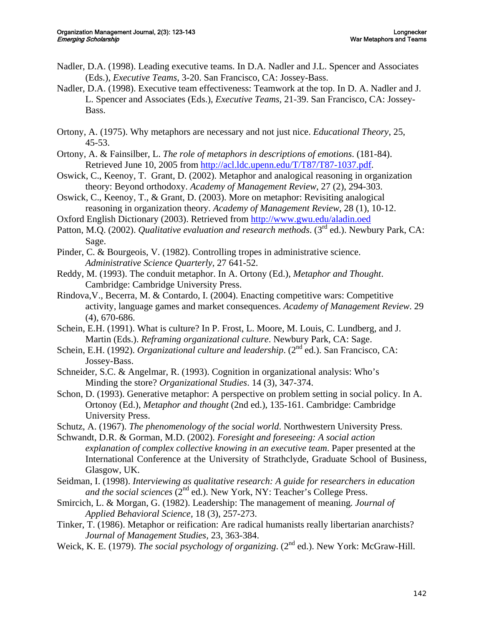- Nadler, D.A. (1998). Leading executive teams. In D.A. Nadler and J.L. Spencer and Associates (Eds.), *Executive Teams*, 3-20. San Francisco, CA: Jossey-Bass.
- Nadler, D.A. (1998). Executive team effectiveness: Teamwork at the top. In D. A. Nadler and J. L. Spencer and Associates (Eds.), *Executive Teams,* 21-39. San Francisco, CA: Jossey-Bass.
- Ortony, A. (1975). Why metaphors are necessary and not just nice. *Educational Theory*, 25, 45-53.
- Ortony, A. & Fainsilber, L. *The role of metaphors in descriptions of emotions*. (181-84). Retrieved June 10, 2005 from [http://acl.ldc.upenn.edu/T/T87/T87-1037.pdf.](http://acl.ldc.upenn.edu/T/T87/T87-1037.pdf)
- Oswick, C., Keenoy, T. Grant, D. (2002). Metaphor and analogical reasoning in organization theory: Beyond orthodoxy. *Academy of Management Review*, 27 (2), 294-303.
- Oswick, C., Keenoy, T., & Grant, D. (2003). More on metaphor: Revisiting analogical reasoning in organization theory. *Academy of Management Review*, 28 (1), 10-12.
- Oxford English Dictionary (2003). Retrieved from <http://www.gwu.edu/aladin.oed>
- Patton, M.Q. (2002). *Qualitative evaluation and research methods*. (3<sup>rd</sup> ed.). Newbury Park, CA: Sage.
- Pinder, C. & Bourgeois, V. (1982). Controlling tropes in administrative science. *Administrative Science Quarterly,* 27 641-52.
- Reddy, M. (1993). The conduit metaphor. In A. Ortony (Ed.), *Metaphor and Thought*. Cambridge: Cambridge University Press.
- Rindova,V., Becerra, M. & Contardo, I. (2004). Enacting competitive wars: Competitive activity, language games and market consequences. *Academy of Management Review*. 29 (4), 670-686.
- Schein, E.H. (1991). What is culture? In P. Frost, L. Moore, M. Louis, C. Lundberg, and J. Martin (Eds.). *Reframing organizational culture*. Newbury Park, CA: Sage.
- Schein, E.H. (1992). *Organizational culture and leadership*. (2<sup>nd</sup> ed.). San Francisco, CA: Jossey-Bass.
- Schneider, S.C. & Angelmar, R. (1993). Cognition in organizational analysis: Who's Minding the store? *Organizational Studies*. 14 (3), 347-374.
- Schon, D. (1993). Generative metaphor: A perspective on problem setting in social policy. In A. Ortonoy (Ed.), *Metaphor and thought* (2nd ed.), 135-161. Cambridge: Cambridge University Press.
- Schutz, A. (1967). *The phenomenology of the social world*. Northwestern University Press.
- Schwandt, D.R. & Gorman, M.D. (2002). *Foresight and foreseeing: A social action explanation of complex collective knowing in an executive team*. Paper presented at the International Conference at the University of Strathclyde, Graduate School of Business, Glasgow, UK.
- Seidman, I. (1998). *Interviewing as qualitative research: A guide for researchers in education and the social sciences* (2<sup>nd</sup> ed.). New York, NY: Teacher's College Press.
- Smircich, L. & Morgan, G. (1982). Leadership: The management of meaning*. Journal of Applied Behavioral Science,* 18 (3), 257-273.
- Tinker, T. (1986). Metaphor or reification: Are radical humanists really libertarian anarchists? *Journal of Management Studies,* 23, 363-384.
- Weick, K. E. (1979). *The social psychology of organizing*. (2<sup>nd</sup> ed.). New York: McGraw-Hill.